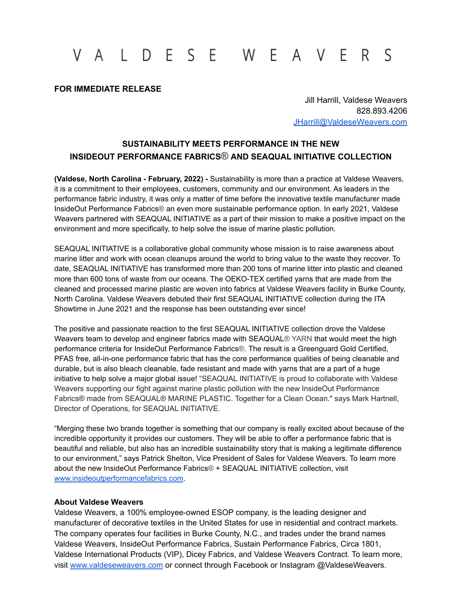# V A L D E S E W E A V E R S

## **FOR IMMEDIATE RELEASE**

Jill Harrill, Valdese Weavers 828.893.4206 [JHarrill@ValdeseWeavers.com](mailto:JHarrill@ValdeseWeavers.com)

## **SUSTAINABILITY MEETS PERFORMANCE IN THE NEW INSIDEOUT PERFORMANCE FABRICS® AND SEAQUAL INITIATIVE COLLECTION**

**(Valdese, North Carolina - February, 2022) -** Sustainability is more than a practice at Valdese Weavers, it is a commitment to their employees, customers, community and our environment. As leaders in the performance fabric industry, it was only a matter of time before the innovative textile manufacturer made InsideOut Performance Fabrics® an even more sustainable performance option. In early 2021, Valdese Weavers partnered with SEAQUAL INITIATIVE as a part of their mission to make a positive impact on the environment and more specifically, to help solve the issue of marine plastic pollution.

SEAQUAL INITIATIVE is a collaborative global community whose mission is to raise awareness about marine litter and work with ocean cleanups around the world to bring value to the waste they recover. To date, SEAQUAL INITIATIVE has transformed more than 200 tons of marine litter into plastic and cleaned more than 600 tons of waste from our oceans. The OEKO-TEX certified yarns that are made from the cleaned and processed marine plastic are woven into fabrics at Valdese Weavers facility in Burke County, North Carolina. Valdese Weavers debuted their first SEAQUAL INITIATIVE collection during the ITA Showtime in June 2021 and the response has been outstanding ever since!

The positive and passionate reaction to the first SEAQUAL INITIATIVE collection drove the Valdese Weavers team to develop and engineer fabrics made with SEAQUAL<sup>®</sup> YARN that would meet the high performance criteria for InsideOut Performance Fabrics®. The result is a Greenguard Gold Certified, PFAS free, all-in-one performance fabric that has the core performance qualities of being cleanable and durable, but is also bleach cleanable, fade resistant and made with yarns that are a part of a huge initiative to help solve a major global issue! "SEAQUAL INITIATIVE is proud to collaborate with Valdese Weavers supporting our fight against marine plastic pollution with the new InsideOut Performance Fabrics® made from SEAQUAL® MARINE PLASTIC. Together for a Clean Ocean." says Mark Hartnell, Director of Operations, for SEAQUAL INITIATIVE.

"Merging these two brands together is something that our company is really excited about because of the incredible opportunity it provides our customers. They will be able to offer a performance fabric that is beautiful and reliable, but also has an incredible sustainability story that is making a legitimate difference to our environment," says Patrick Shelton, Vice President of Sales for Valdese Weavers. To learn more about the new InsideOut Performance Fabrics® + SEAQUAL INITIATIVE collection, visit [www.insideoutperformancefabrics.com](http://www.insideoutperformancefabrics.com).

#### **About Valdese Weavers**

Valdese Weavers, a 100% employee-owned ESOP company, is the leading designer and manufacturer of decorative textiles in the United States for use in residential and contract markets. The company operates four facilities in Burke County, N.C., and trades under the brand names Valdese Weavers, InsideOut Performance Fabrics, Sustain Performance Fabrics, Circa 1801, Valdese International Products (VIP), Dicey Fabrics, and Valdese Weavers Contract. To learn more, visit [www.valdeseweavers.com](http://www.valdeseweavers.com) or connect through Facebook or Instagram @ValdeseWeavers.